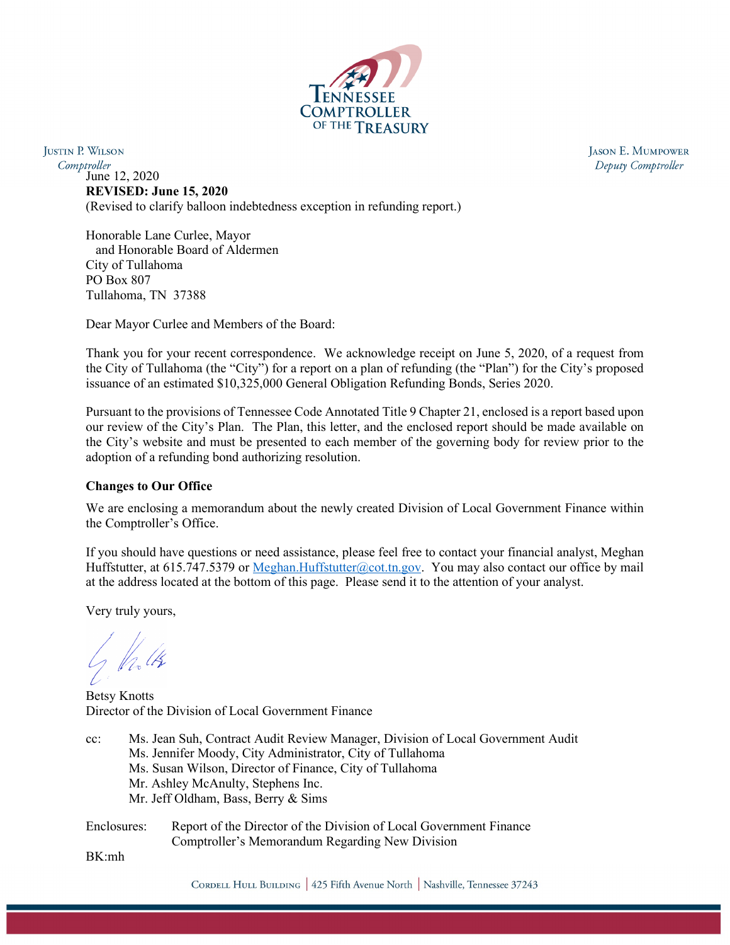

**JUSTIN P. WILSON** Comptroller June 12, 2020 **REVISED: June 15, 2020** (Revised to clarify balloon indebtedness exception in refunding report.)

> Honorable Lane Curlee, Mayor and Honorable Board of Aldermen City of Tullahoma PO Box 807 Tullahoma, TN 37388

Dear Mayor Curlee and Members of the Board:

Thank you for your recent correspondence. We acknowledge receipt on June 5, 2020, of a request from the City of Tullahoma (the "City") for a report on a plan of refunding (the "Plan") for the City's proposed issuance of an estimated \$10,325,000 General Obligation Refunding Bonds, Series 2020.

Pursuant to the provisions of Tennessee Code Annotated Title 9 Chapter 21, enclosed is a report based upon our review of the City's Plan. The Plan, this letter, and the enclosed report should be made available on the City's website and must be presented to each member of the governing body for review prior to the adoption of a refunding bond authorizing resolution.

### **Changes to Our Office**

We are enclosing a memorandum about the newly created Division of Local Government Finance within the Comptroller's Office.

If you should have questions or need assistance, please feel free to contact your financial analyst, Meghan Huffstutter, at 615.747.5379 or [Meghan.Huffstutter@cot.tn.gov.](mailto:Meghan.Huffstutter@cot.tn.gov) You may also contact our office by mail at the address located at the bottom of this page. Please send it to the attention of your analyst.

Very truly yours,

Betsy Knotts Director of the Division of Local Government Finance

cc: Ms. Jean Suh, Contract Audit Review Manager, Division of Local Government Audit Ms. Jennifer Moody, City Administrator, City of Tullahoma Ms. Susan Wilson, Director of Finance, City of Tullahoma Mr. Ashley McAnulty, Stephens Inc. Mr. Jeff Oldham, Bass, Berry & Sims

Enclosures: Report of the Director of the Division of Local Government Finance Comptroller's Memorandum Regarding New Division

BK:mh

JASON E. MUMPOWER Deputy Comptroller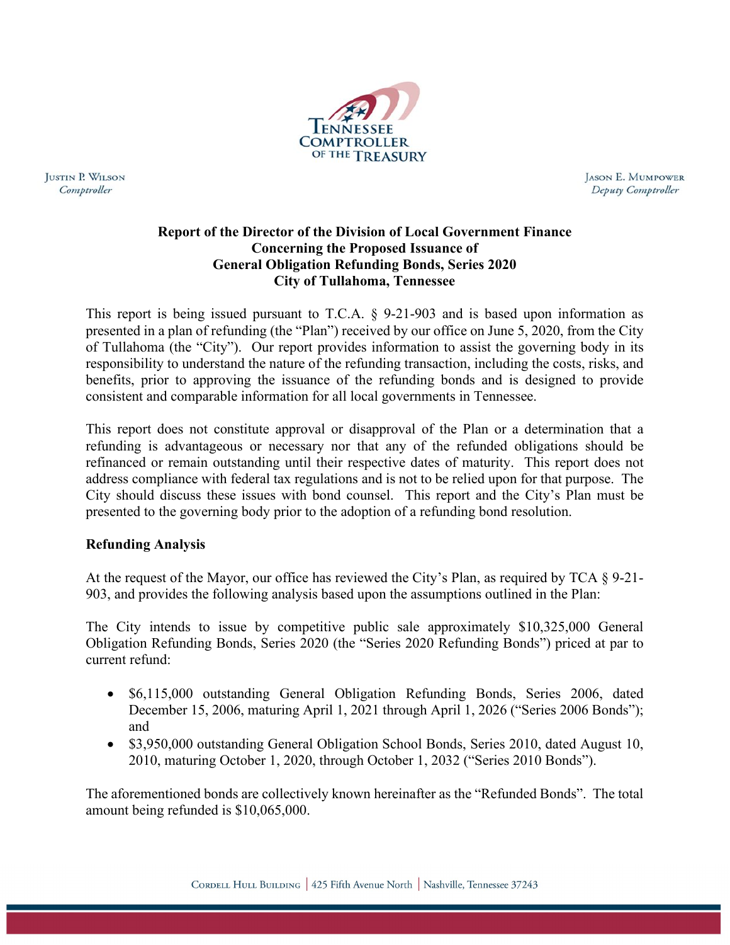

**JUSTIN P. WILSON** Comptroller

**JASON E. MUMPOWER** Deputy Comptroller

# **Report of the Director of the Division of Local Government Finance Concerning the Proposed Issuance of General Obligation Refunding Bonds, Series 2020 City of Tullahoma, Tennessee**

This report is being issued pursuant to T.C.A. § 9-21-903 and is based upon information as presented in a plan of refunding (the "Plan") received by our office on June 5, 2020, from the City of Tullahoma (the "City"). Our report provides information to assist the governing body in its responsibility to understand the nature of the refunding transaction, including the costs, risks, and benefits, prior to approving the issuance of the refunding bonds and is designed to provide consistent and comparable information for all local governments in Tennessee.

This report does not constitute approval or disapproval of the Plan or a determination that a refunding is advantageous or necessary nor that any of the refunded obligations should be refinanced or remain outstanding until their respective dates of maturity. This report does not address compliance with federal tax regulations and is not to be relied upon for that purpose. The City should discuss these issues with bond counsel. This report and the City's Plan must be presented to the governing body prior to the adoption of a refunding bond resolution.

# **Refunding Analysis**

At the request of the Mayor, our office has reviewed the City's Plan, as required by TCA § 9-21- 903, and provides the following analysis based upon the assumptions outlined in the Plan:

The City intends to issue by competitive public sale approximately \$10,325,000 General Obligation Refunding Bonds, Series 2020 (the "Series 2020 Refunding Bonds") priced at par to current refund:

- \$6,115,000 outstanding General Obligation Refunding Bonds, Series 2006, dated December 15, 2006, maturing April 1, 2021 through April 1, 2026 ("Series 2006 Bonds"); and
- \$3,950,000 outstanding General Obligation School Bonds, Series 2010, dated August 10, 2010, maturing October 1, 2020, through October 1, 2032 ("Series 2010 Bonds").

The aforementioned bonds are collectively known hereinafter as the "Refunded Bonds". The total amount being refunded is \$10,065,000.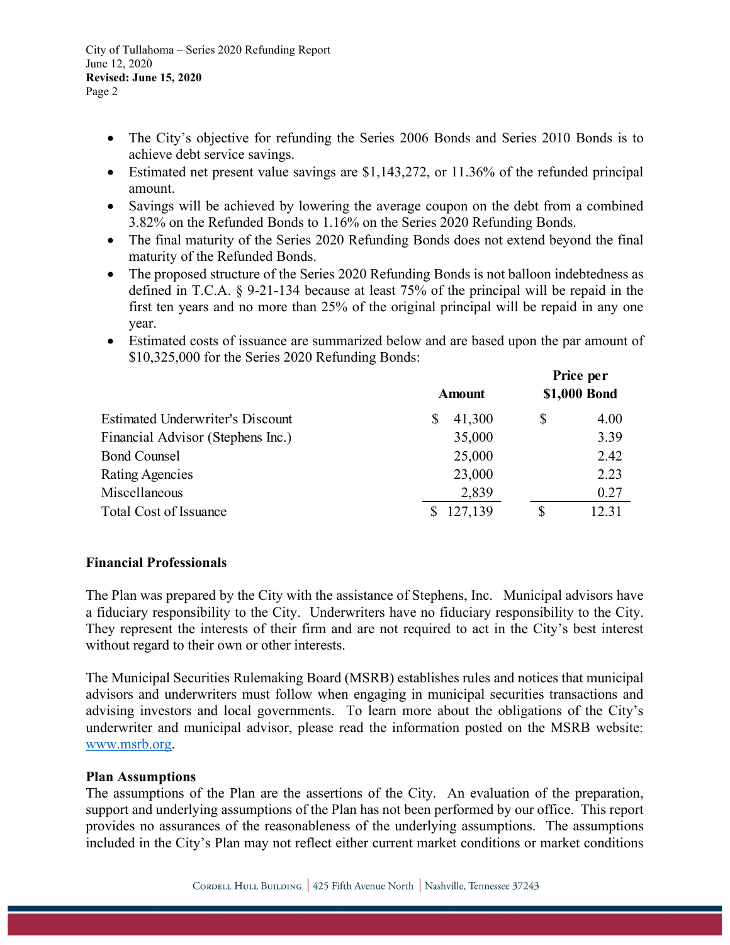City of Tullahoma – Series 2020 Refunding Report June 12, 2020 **Revised: June 15, 2020** Page 2

- The City's objective for refunding the Series 2006 Bonds and Series 2010 Bonds is to achieve debt service savings.
- Estimated net present value savings are \$1,143,272, or 11.36% of the refunded principal amount.
- Savings will be achieved by lowering the average coupon on the debt from a combined 3.82% on the Refunded Bonds to 1.16% on the Series 2020 Refunding Bonds.
- The final maturity of the Series 2020 Refunding Bonds does not extend beyond the final maturity of the Refunded Bonds.
- The proposed structure of the Series 2020 Refunding Bonds is not balloon indebtedness as defined in T.C.A. § 9-21-134 because at least 75% of the principal will be repaid in the first ten years and no more than 25% of the original principal will be repaid in any one year.
- Estimated costs of issuance are summarized below and are based upon the par amount of \$10,325,000 for the Series 2020 Refunding Bonds:

|                                         | <b>Amount</b> |    | Price per<br>\$1,000 Bond |  |
|-----------------------------------------|---------------|----|---------------------------|--|
| <b>Estimated Underwriter's Discount</b> | 41,300<br>S   | \$ | 4.00                      |  |
| Financial Advisor (Stephens Inc.)       | 35,000        |    | 3.39                      |  |
| <b>Bond Counsel</b>                     | 25,000        |    | 2.42                      |  |
| Rating Agencies                         | 23,000        |    | 2.23                      |  |
| Miscellaneous                           | 2,839         |    | 0.27                      |  |
| <b>Total Cost of Issuance</b>           | \$127,139     | \$ | 12.31                     |  |

### **Financial Professionals**

The Plan was prepared by the City with the assistance of Stephens, Inc. Municipal advisors have a fiduciary responsibility to the City. Underwriters have no fiduciary responsibility to the City. They represent the interests of their firm and are not required to act in the City's best interest without regard to their own or other interests.

The Municipal Securities Rulemaking Board (MSRB) establishes rules and notices that municipal advisors and underwriters must follow when engaging in municipal securities transactions and advising investors and local governments. To learn more about the obligations of the City's underwriter and municipal advisor, please read the information posted on the MSRB website: [www.msrb.org.](http://www.msrb.org/)

### **Plan Assumptions**

The assumptions of the Plan are the assertions of the City. An evaluation of the preparation, support and underlying assumptions of the Plan has not been performed by our office. This report provides no assurances of the reasonableness of the underlying assumptions. The assumptions included in the City's Plan may not reflect either current market conditions or market conditions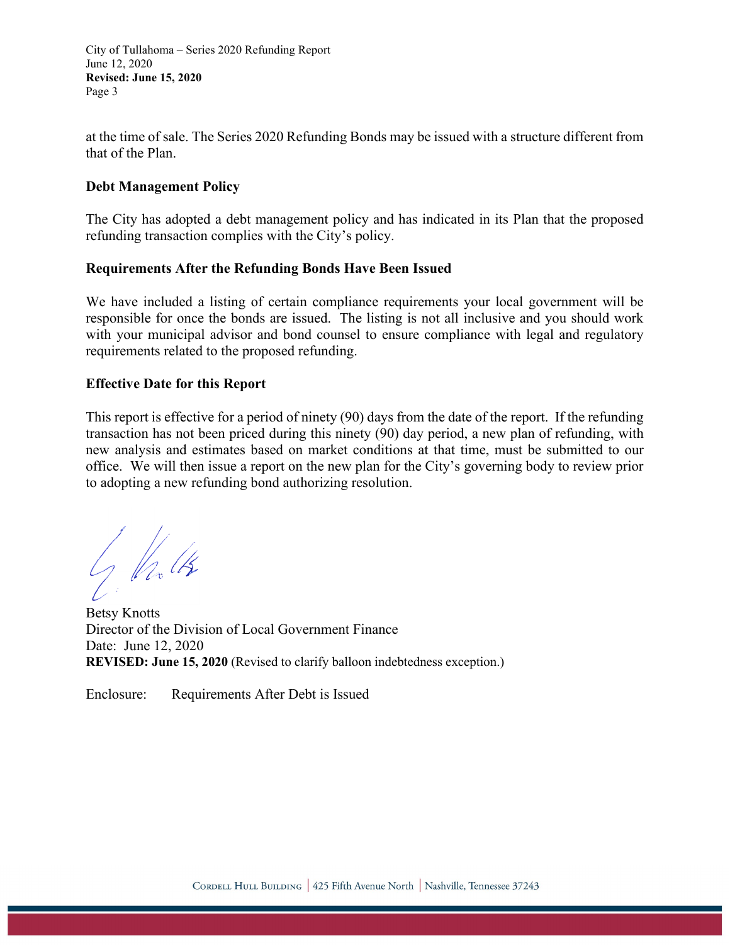City of Tullahoma – Series 2020 Refunding Report June 12, 2020 **Revised: June 15, 2020** Page 3

at the time of sale. The Series 2020 Refunding Bonds may be issued with a structure different from that of the Plan.

### **Debt Management Policy**

The City has adopted a debt management policy and has indicated in its Plan that the proposed refunding transaction complies with the City's policy.

## **Requirements After the Refunding Bonds Have Been Issued**

We have included a listing of certain compliance requirements your local government will be responsible for once the bonds are issued. The listing is not all inclusive and you should work with your municipal advisor and bond counsel to ensure compliance with legal and regulatory requirements related to the proposed refunding.

## **Effective Date for this Report**

This report is effective for a period of ninety (90) days from the date of the report. If the refunding transaction has not been priced during this ninety (90) day period, a new plan of refunding, with new analysis and estimates based on market conditions at that time, must be submitted to our office. We will then issue a report on the new plan for the City's governing body to review prior to adopting a new refunding bond authorizing resolution.

J Valts

Betsy Knotts Director of the Division of Local Government Finance Date: June 12, 2020 **REVISED: June 15, 2020** (Revised to clarify balloon indebtedness exception.)

Enclosure: Requirements After Debt is Issued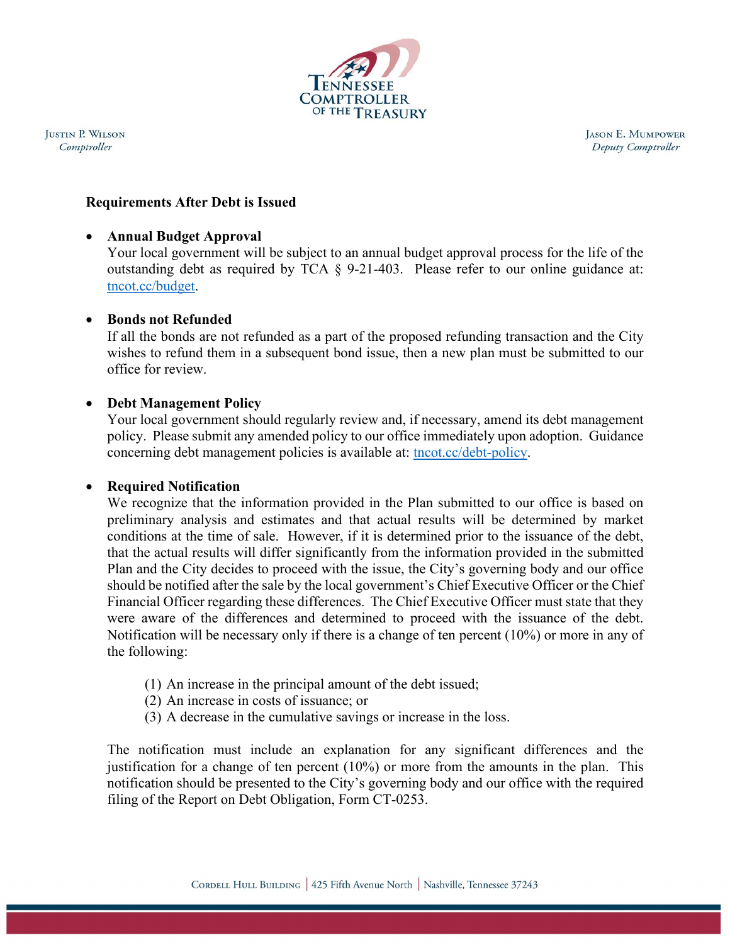

**JUSTIN P. WILSON** Comptroller

**JASON E. MUMPOWER** Deputy Comptroller

## **Requirements After Debt is Issued**

### • **Annual Budget Approval**

Your local government will be subject to an annual budget approval process for the life of the outstanding debt as required by TCA § 9-21-403. Please refer to our online guidance at: tncot.cc/budget.

## • **Bonds not Refunded**

If all the bonds are not refunded as a part of the proposed refunding transaction and the City wishes to refund them in a subsequent bond issue, then a new plan must be submitted to our office for review.

## • **Debt Management Policy**

Your local government should regularly review and, if necessary, amend its debt management policy. Please submit any amended policy to our office immediately upon adoption. Guidance concerning debt management policies is available at: tncot.cc/debt-policy.

# • **Required Notification**

We recognize that the information provided in the Plan submitted to our office is based on preliminary analysis and estimates and that actual results will be determined by market conditions at the time of sale. However, if it is determined prior to the issuance of the debt, that the actual results will differ significantly from the information provided in the submitted Plan and the City decides to proceed with the issue, the City's governing body and our office should be notified after the sale by the local government's Chief Executive Officer or the Chief Financial Officer regarding these differences. The Chief Executive Officer must state that they were aware of the differences and determined to proceed with the issuance of the debt. Notification will be necessary only if there is a change of ten percent  $(10\%)$  or more in any of the following:

- (1) An increase in the principal amount of the debt issued;
- (2) An increase in costs of issuance; or
- (3) A decrease in the cumulative savings or increase in the loss.

The notification must include an explanation for any significant differences and the justification for a change of ten percent (10%) or more from the amounts in the plan. This notification should be presented to the City's governing body and our office with the required filing of the Report on Debt Obligation, Form CT-0253.